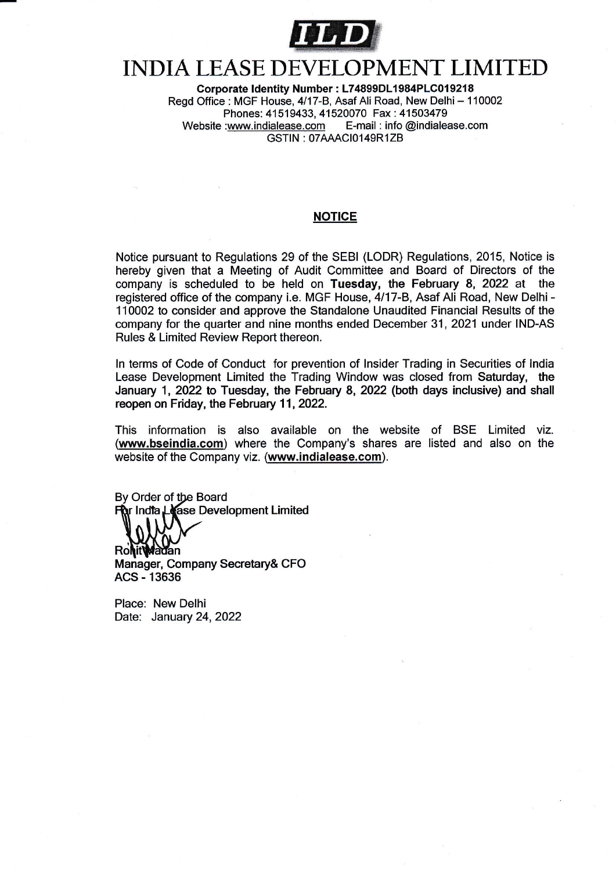

## INDIA LEASE DEVELOPMENT LIMITED

Corporate Identity Number : L74899DL1984PLC019218 Regd Office : MGF House, 4/17-B, Asaf Ali Road, New Delhi - 110002 Phones: 41519433, 41520070 Fax : 41503479<br>:www.indialease.com E-mail : info @indialease.com Website :www.indialease.com GSTIN: 07AAACI0149R1ZB

## **NOTICE**

Notice pursuant to Regulations 29 of the SEBI (LODR) Regulations, 2015, Notice is hereby given that a Meeting of Audit Committee and Board of Directors of the company is scheduled to be held on Tuesday, the February 8, 2022 at the registered office of the company i.e. MGF House, 4/17-B, Asaf Ali Road, New Delhi - 110002 to consider and approve the Standalone Unaudited Financial Results of the company for the quarter and nine months ended December 31,2021 under IND-AS Rules & Limited Review Report thereon.

ln terms of Code of Conduct for prevention of lnsider Trading in Securities of lndia Lease Development Limited the Trading Window was closed from Saturday, the January 1, 2022 to Tuesday, the February 8, 2022 (both days inclusive) and shall reopen on Friday, the February 11, 2022.

This information is also available on the website of BSE Limited viz (www.bseindia.com) where the Company's shares are listed and also on the website of the Company viz. (www.indialease.com).

By Order of t**h**e Board lndfa Development Limited

**Rohit Madan** 

Manager, Company Secretary& CFO ACS - 13636

Place: New Delhi Date: January 24, 2022